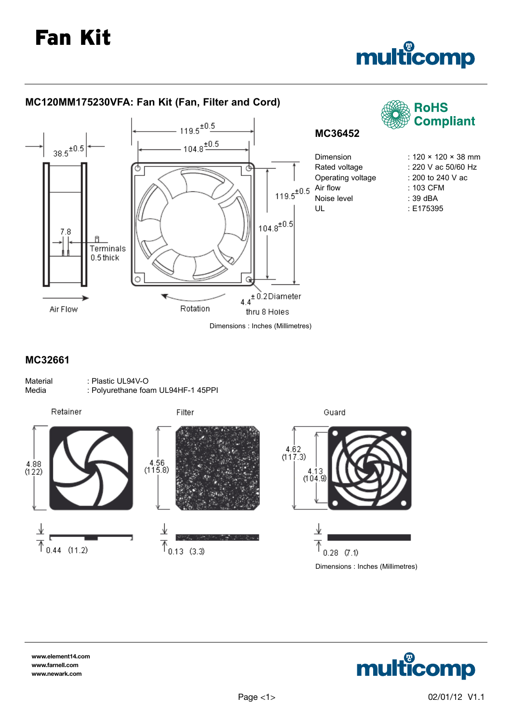

## **MC32661**

| Material | : Plastic UL94V-O                  |
|----------|------------------------------------|
| Media    | : Polyurethane foam UL94HF-1 45PPI |